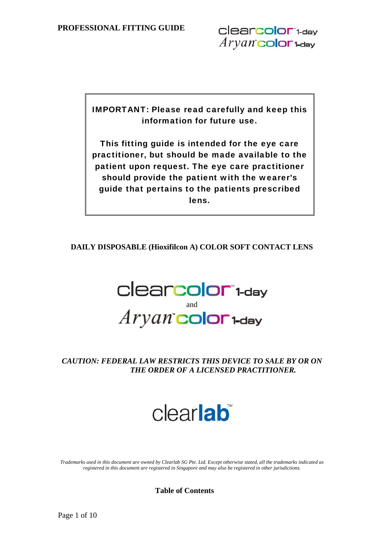IMPORTANT: Please read carefully and keep this information for future use.

This fitting guide is intended for the eye care practitioner, but should be made available to the patient upon request. The eye care practitioner should provide the patient with the wearer's guide that pertains to the patients prescribed lens.

**DAILY DISPOSABLE (Hioxifilcon A) COLOR SOFT CONTACT LENS** 



## *CAUTION: FEDERAL LAW RESTRICTS THIS DEVICE TO SALE BY OR ON THE ORDER OF A LICENSED PRACTITIONER.*

# clearlab

*Trademarks used in this document are owned by Clearlab SG Pte. Ltd. Except otherwise stated, all the trademarks indicated as registered in this document are registered in Singapore and may also be registered in other jurisdictions.* 

**Table of Contents**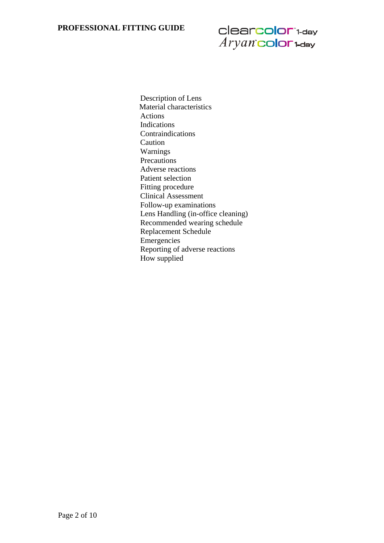# clearcolor\*1-day  $Aryan$  color  $1$ -day

Description of Lens Material characteristics Actions Indications Contraindications Caution Warnings Precautions Adverse reactions Patient selection Fitting procedure Clinical Assessment Follow-up examinations Lens Handling (in-office cleaning) Recommended wearing schedule Replacement Schedule Emergencies Reporting of adverse reactions How supplied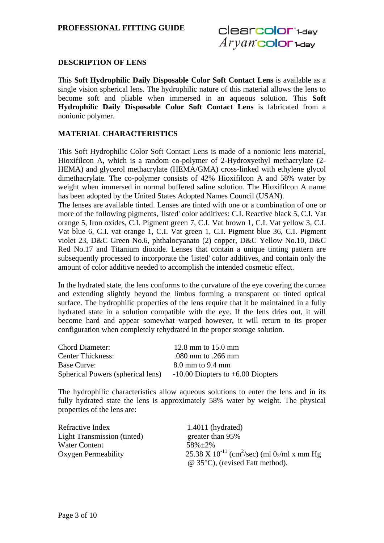#### **DESCRIPTION OF LENS**

This **Soft Hydrophilic Daily Disposable Color Soft Contact Lens** is available as a single vision spherical lens. The hydrophilic nature of this material allows the lens to become soft and pliable when immersed in an aqueous solution. This **Soft Hydrophilic Daily Disposable Color Soft Contact Lens** is fabricated from a nonionic polymer.

#### **MATERIAL CHARACTERISTICS**

This Soft Hydrophilic Color Soft Contact Lens is made of a nonionic lens material, Hioxifilcon A, which is a random co-polymer of 2-Hydroxyethyl methacrylate (2- HEMA) and glycerol methacrylate (HEMA/GMA) cross-linked with ethylene glycol dimethacrylate. The co-polymer consists of 42% Hioxifilcon A and 58% water by weight when immersed in normal buffered saline solution. The Hioxifilcon A name has been adopted by the United States Adopted Names Council (USAN).

The lenses are available tinted. Lenses are tinted with one or a combination of one or more of the following pigments, 'listed' color additives: C.I. Reactive black 5, C.I. Vat orange 5, Iron oxides, C.I. Pigment green 7, C.I. Vat brown 1, C.I. Vat yellow 3, C.I. Vat blue 6, C.I. vat orange 1, C.I. Vat green 1, C.I. Pigment blue 36, C.I. Pigment violet 23, D&C Green No.6, phthalocyanato (2) copper, D&C Yellow No.10, D&C Red No.17 and Titanium dioxide. Lenses that contain a unique tinting pattern are subsequently processed to incorporate the 'listed' color additives, and contain only the amount of color additive needed to accomplish the intended cosmetic effect.

In the hydrated state, the lens conforms to the curvature of the eye covering the cornea and extending slightly beyond the limbus forming a transparent or tinted optical surface. The hydrophilic properties of the lens require that it be maintained in a fully hydrated state in a solution compatible with the eye. If the lens dries out, it will become hard and appear somewhat warped however, it will return to its proper configuration when completely rehydrated in the proper storage solution.

| <b>Chord Diameter:</b>            | 12.8 mm to $15.0$ mm                  |
|-----------------------------------|---------------------------------------|
| <b>Center Thickness:</b>          | .080 mm to .266 mm                    |
| Base Curve:                       | $8.0$ mm to $9.4$ mm                  |
| Spherical Powers (spherical lens) | $-10.00$ Diopters to $+6.00$ Diopters |

The hydrophilic characteristics allow aqueous solutions to enter the lens and in its fully hydrated state the lens is approximately 58% water by weight. The physical properties of the lens are:

| Refractive Index                   | $1.4011$ (hydrated)                                                             |
|------------------------------------|---------------------------------------------------------------------------------|
| <b>Light Transmission (tinted)</b> | greater than 95%                                                                |
| <b>Water Content</b>               | $58\% + 2\%$                                                                    |
| Oxygen Permeability                | 25.38 X 10 <sup>-11</sup> (cm <sup>2</sup> /sec) (ml 0 <sub>2</sub> /ml x mm Hg |
|                                    | $\omega$ 35°C), (revised Fatt method).                                          |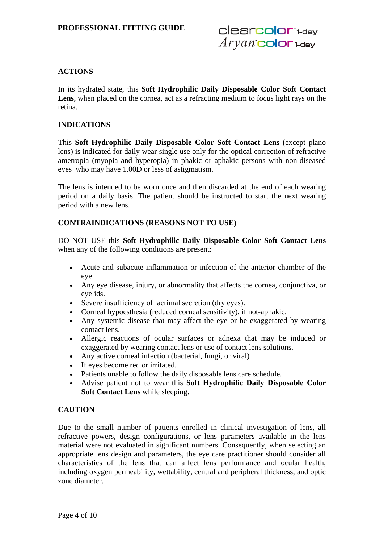## **ACTIONS**

In its hydrated state, this **Soft Hydrophilic Daily Disposable Color Soft Contact**  Lens, when placed on the cornea, act as a refracting medium to focus light rays on the retina.

#### **INDICATIONS**

This **Soft Hydrophilic Daily Disposable Color Soft Contact Lens** (except plano lens) is indicated for daily wear single use only for the optical correction of refractive ametropia (myopia and hyperopia) in phakic or aphakic persons with non-diseased eyes who may have 1.00D or less of astigmatism.

The lens is intended to be worn once and then discarded at the end of each wearing period on a daily basis. The patient should be instructed to start the next wearing period with a new lens.

## **CONTRAINDICATIONS (REASONS NOT TO USE)**

DO NOT USE this **Soft Hydrophilic Daily Disposable Color Soft Contact Lens** when any of the following conditions are present:

- Acute and subacute inflammation or infection of the anterior chamber of the eye.
- Any eye disease, injury, or abnormality that affects the cornea, conjunctiva, or eyelids.
- Severe insufficiency of lacrimal secretion (dry eyes).
- Corneal hypoesthesia (reduced corneal sensitivity), if not-aphakic.
- Any systemic disease that may affect the eye or be exaggerated by wearing contact lens.
- Allergic reactions of ocular surfaces or adnexa that may be induced or exaggerated by wearing contact lens or use of contact lens solutions.
- Any active corneal infection (bacterial, fungi, or viral)
- If eyes become red or irritated.
- Patients unable to follow the daily disposable lens care schedule.
- Advise patient not to wear this **Soft Hydrophilic Daily Disposable Color Soft Contact Lens** while sleeping.

#### **CAUTION**

Due to the small number of patients enrolled in clinical investigation of lens, all refractive powers, design configurations, or lens parameters available in the lens material were not evaluated in significant numbers. Consequently, when selecting an appropriate lens design and parameters, the eye care practitioner should consider all characteristics of the lens that can affect lens performance and ocular health, including oxygen permeability, wettability, central and peripheral thickness, and optic zone diameter.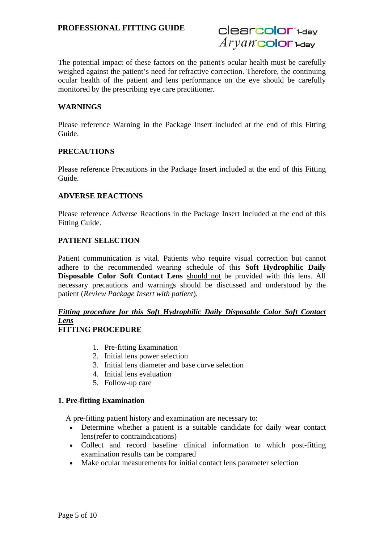The potential impact of these factors on the patient's ocular health must be carefully weighed against the patient's need for refractive correction. Therefore, the continuing ocular health of the patient and lens performance on the eye should be carefully monitored by the prescribing eye care practitioner.

#### **WARNINGS**

Please reference Warning in the Package Insert included at the end of this Fitting Guide.

#### **PRECAUTIONS**

Please reference Precautions in the Package Insert included at the end of this Fitting Guide.

#### **ADVERSE REACTIONS**

Please reference Adverse Reactions in the Package Insert Included at the end of this Fitting Guide.

#### **PATIENT SELECTION**

Patient communication is vital. Patients who require visual correction but cannot adhere to the recommended wearing schedule of this **Soft Hydrophilic Daily Disposable Color Soft Contact Lens** should not be provided with this lens. All necessary precautions and warnings should be discussed and understood by the patient (*Review Package Insert with patient*).

## *Fitting procedure for this Soft Hydrophilic Daily Disposable Color Soft Contact Lens*

## **FITTING PROCEDURE**

- 1. Pre-fitting Examination
- 2. Initial lens power selection
- 3. Initial lens diameter and base curve selection
- 4. Initial lens evaluation
- 5. Follow-up care

#### **1. Pre-fitting Examination**

A pre-fitting patient history and examination are necessary to:

- Determine whether a patient is a suitable candidate for daily wear contact lens(refer to contraindications)
- Collect and record baseline clinical information to which post-fitting examination results can be compared
- Make ocular measurements for initial contact lens parameter selection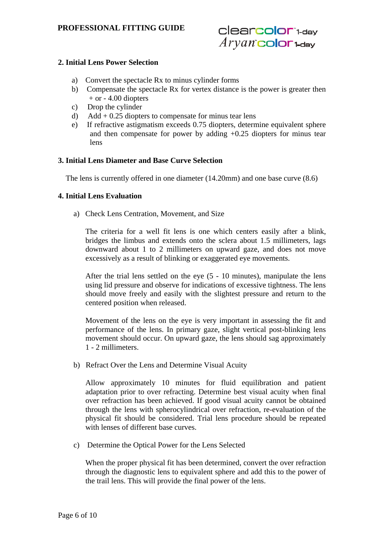#### **2. Initial Lens Power Selection**

- a) Convert the spectacle Rx to minus cylinder forms
- b) Compensate the spectacle Rx for vertex distance is the power is greater then  $+$  or  $-$  4.00 diopters
- c) Drop the cylinder
- d) Add  $+ 0.25$  diopters to compensate for minus tear lens
- e) If refractive astigmatism exceeds 0.75 diopters, determine equivalent sphere and then compensate for power by adding  $+0.25$  diopters for minus tear lens

#### **3. Initial Lens Diameter and Base Curve Selection**

The lens is currently offered in one diameter (14.20mm) and one base curve (8.6)

#### **4. Initial Lens Evaluation**

a)Check Lens Centration, Movement, and Size

The criteria for a well fit lens is one which centers easily after a blink, bridges the limbus and extends onto the sclera about 1.5 millimeters, lags downward about 1 to 2 millimeters on upward gaze, and does not move excessively as a result of blinking or exaggerated eye movements.

After the trial lens settled on the eye (5 - 10 minutes), manipulate the lens using lid pressure and observe for indications of excessive tightness. The lens should move freely and easily with the slightest pressure and return to the centered position when released.

Movement of the lens on the eye is very important in assessing the fit and performance of the lens. In primary gaze, slight vertical post-blinking lens movement should occur. On upward gaze, the lens should sag approximately 1 - 2 millimeters.

b)Refract Over the Lens and Determine Visual Acuity

Allow approximately 10 minutes for fluid equilibration and patient adaptation prior to over refracting. Determine best visual acuity when final over refraction has been achieved. If good visual acuity cannot be obtained through the lens with spherocylindrical over refraction, re-evaluation of the physical fit should be considered. Trial lens procedure should be repeated with lenses of different base curves.

c) Determine the Optical Power for the Lens Selected

When the proper physical fit has been determined, convert the over refraction through the diagnostic lens to equivalent sphere and add this to the power of the trail lens. This will provide the final power of the lens.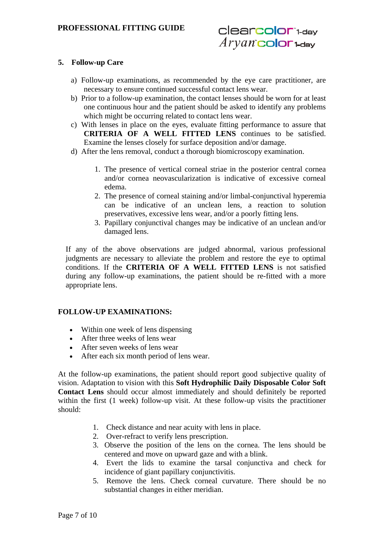#### **5. Follow-up Care**

- a) Follow-up examinations, as recommended by the eye care practitioner, are necessary to ensure continued successful contact lens wear.
- b) Prior to a follow-up examination, the contact lenses should be worn for at least one continuous hour and the patient should be asked to identify any problems which might be occurring related to contact lens wear.
- c) With lenses in place on the eyes, evaluate fitting performance to assure that **CRITERIA OF A WELL FITTED LENS** continues to be satisfied. Examine the lenses closely for surface deposition and/or damage.
- d) After the lens removal, conduct a thorough biomicroscopy examination.
	- 1. The presence of vertical corneal striae in the posterior central cornea and/or cornea neovascularization is indicative of excessive corneal edema.
	- 2. The presence of corneal staining and/or limbal-conjunctival hyperemia can be indicative of an unclean lens, a reaction to solution preservatives, excessive lens wear, and/or a poorly fitting lens.
	- 3. Papillary conjunctival changes may be indicative of an unclean and/or damaged lens.

If any of the above observations are judged abnormal, various professional judgments are necessary to alleviate the problem and restore the eye to optimal conditions. If the **CRITERIA OF A WELL FITTED LENS** is not satisfied during any follow-up examinations, the patient should be re-fitted with a more appropriate lens.

#### **FOLLOW-UP EXAMINATIONS:**

- Within one week of lens dispensing
- After three weeks of lens wear
- After seven weeks of lens wear
- After each six month period of lens wear.

At the follow-up examinations, the patient should report good subjective quality of vision. Adaptation to vision with this **Soft Hydrophilic Daily Disposable Color Soft Contact Lens** should occur almost immediately and should definitely be reported within the first (1 week) follow-up visit. At these follow-up visits the practitioner should:

- 1. Check distance and near acuity with lens in place.
- 2. Over-refract to verify lens prescription.
- 3. Observe the position of the lens on the cornea. The lens should be centered and move on upward gaze and with a blink.
- 4. Evert the lids to examine the tarsal conjunctiva and check for incidence of giant papillary conjunctivitis.
- 5. Remove the lens. Check corneal curvature. There should be no substantial changes in either meridian.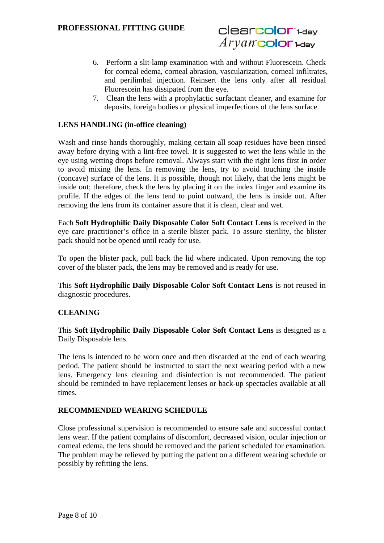- 6. Perform a slit-lamp examination with and without Fluorescein. Check for corneal edema, corneal abrasion, vascularization, corneal infiltrates, and perilimbal injection. Reinsert the lens only after all residual Fluorescein has dissipated from the eye.
- 7. Clean the lens with a prophylactic surfactant cleaner, and examine for deposits, foreign bodies or physical imperfections of the lens surface.

#### **LENS HANDLING (in-office cleaning)**

Wash and rinse hands thoroughly, making certain all soap residues have been rinsed away before drying with a lint-free towel. It is suggested to wet the lens while in the eye using wetting drops before removal. Always start with the right lens first in order to avoid mixing the lens. In removing the lens, try to avoid touching the inside (concave) surface of the lens. It is possible, though not likely, that the lens might be inside out; therefore, check the lens by placing it on the index finger and examine its profile. If the edges of the lens tend to point outward, the lens is inside out. After removing the lens from its container assure that it is clean, clear and wet.

Each **Soft Hydrophilic Daily Disposable Color Soft Contact Lens** is received in the eye care practitioner's office in a sterile blister pack. To assure sterility, the blister pack should not be opened until ready for use.

To open the blister pack, pull back the lid where indicated. Upon removing the top cover of the blister pack, the lens may be removed and is ready for use.

This **Soft Hydrophilic Daily Disposable Color Soft Contact Lens** is not reused in diagnostic procedures.

#### **CLEANING**

This **Soft Hydrophilic Daily Disposable Color Soft Contact Lens** is designed as a Daily Disposable lens.

The lens is intended to be worn once and then discarded at the end of each wearing period. The patient should be instructed to start the next wearing period with a new lens. Emergency lens cleaning and disinfection is not recommended. The patient should be reminded to have replacement lenses or back-up spectacles available at all times.

#### **RECOMMENDED WEARING SCHEDULE**

Close professional supervision is recommended to ensure safe and successful contact lens wear. If the patient complains of discomfort, decreased vision, ocular injection or corneal edema, the lens should be removed and the patient scheduled for examination. The problem may be relieved by putting the patient on a different wearing schedule or possibly by refitting the lens.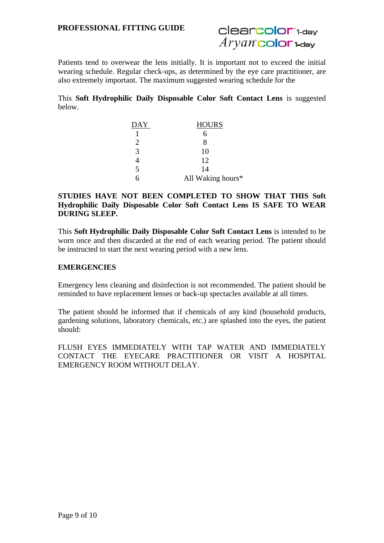Patients tend to overwear the lens initially. It is important not to exceed the initial wearing schedule. Regular check-ups, as determined by the eye care practitioner, are also extremely important. The maximum suggested wearing schedule for the

This **Soft Hydrophilic Daily Disposable Color Soft Contact Lens** is suggested below.

| <b>DAY</b> | <b>HOURS</b>      |
|------------|-------------------|
|            |                   |
| 2          | 8                 |
| 3          | 10                |
|            | 12                |
| 5          | 14                |
|            | All Waking hours* |

#### **STUDIES HAVE NOT BEEN COMPLETED TO SHOW THAT THIS Soft Hydrophilic Daily Disposable Color Soft Contact Lens IS SAFE TO WEAR DURING SLEEP.**

This **Soft Hydrophilic Daily Disposable Color Soft Contact Lens** is intended to be worn once and then discarded at the end of each wearing period. The patient should be instructed to start the next wearing period with a new lens.

#### **EMERGENCIES**

Emergency lens cleaning and disinfection is not recommended. The patient should be reminded to have replacement lenses or back-up spectacles available at all times.

The patient should be informed that if chemicals of any kind (household products, gardening solutions, laboratory chemicals, etc.) are splashed into the eyes, the patient should:

FLUSH EYES IMMEDIATELY WITH TAP WATER AND IMMEDIATELY CONTACT THE EYECARE PRACTITIONER OR VISIT A HOSPITAL EMERGENCY ROOM WITHOUT DELAY.